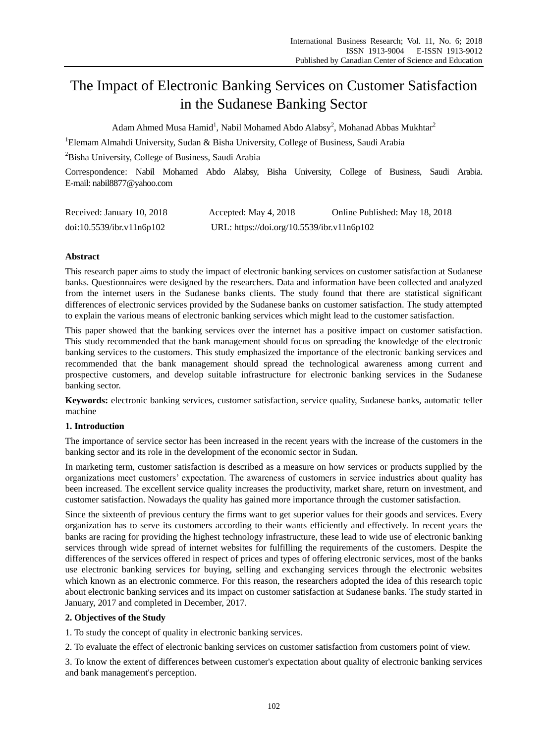# The Impact of Electronic Banking Services on Customer Satisfaction in the Sudanese Banking Sector

Adam Ahmed Musa Hamid<sup>1</sup>, Nabil Mohamed Abdo Alabsy<sup>2</sup>, Mohanad Abbas Mukhtar<sup>2</sup>

<sup>1</sup>Elemam Almahdi University, Sudan & Bisha University, College of Business, Saudi Arabia

<sup>2</sup>Bisha University, College of Business, Saudi Arabia

Correspondence: Nabil Mohamed Abdo Alabsy, Bisha University, College of Business, Saudi Arabia. E-mail: nabil8877@yahoo.com

| Received: January 10, 2018 | Accepted: May 4, 2018                      | Online Published: May 18, 2018 |
|----------------------------|--------------------------------------------|--------------------------------|
| doi:10.5539/ibr.v11n6p102  | URL: https://doi.org/10.5539/ibr.v11n6p102 |                                |

# **Abstract**

This research paper aims to study the impact of electronic banking services on customer satisfaction at Sudanese banks. Questionnaires were designed by the researchers. Data and information have been collected and analyzed from the internet users in the Sudanese banks clients. The study found that there are statistical significant differences of electronic services provided by the Sudanese banks on customer satisfaction. The study attempted to explain the various means of electronic banking services which might lead to the customer satisfaction.

This paper showed that the banking services over the internet has a positive impact on customer satisfaction. This study recommended that the bank management should focus on spreading the knowledge of the electronic banking services to the customers. This study emphasized the importance of the electronic banking services and recommended that the bank management should spread the technological awareness among current and prospective customers, and develop suitable infrastructure for electronic banking services in the Sudanese banking sector.

**Keywords:** electronic banking services, customer satisfaction, service quality, Sudanese banks, automatic teller machine

## **1. Introduction**

The importance of service sector has been increased in the recent years with the increase of the customers in the banking sector and its role in the development of the economic sector in Sudan.

In marketing term, customer satisfaction is described as a measure on how services or products supplied by the organizations meet customers' expectation. The awareness of customers in service industries about quality has been increased. The excellent service quality increases the productivity, market share, return on investment, and customer satisfaction. Nowadays the quality has gained more importance through the customer satisfaction.

Since the sixteenth of previous century the firms want to get superior values for their goods and services. Every organization has to serve its customers according to their wants efficiently and effectively. In recent years the banks are racing for providing the highest technology infrastructure, these lead to wide use of electronic banking services through wide spread of internet websites for fulfilling the requirements of the customers. Despite the differences of the services offered in respect of prices and types of offering electronic services, most of the banks use electronic banking services for buying, selling and exchanging services through the electronic websites which known as an electronic commerce. For this reason, the researchers adopted the idea of this research topic about electronic banking services and its impact on customer satisfaction at Sudanese banks. The study started in January, 2017 and completed in December, 2017.

## **2. Objectives of the Study**

1. To study the concept of quality in electronic banking services.

2. To evaluate the effect of electronic banking services on customer satisfaction from customers point of view.

3. To know the extent of differences between customer's expectation about quality of electronic banking services and bank management's perception.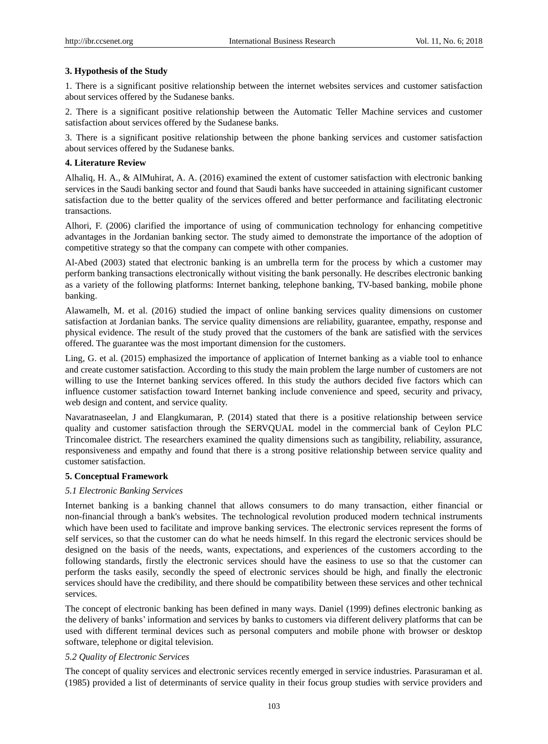## **3. Hypothesis of the Study**

1. There is a significant positive relationship between the internet websites services and customer satisfaction about services offered by the Sudanese banks.

2. There is a significant positive relationship between the Automatic Teller Machine services and customer satisfaction about services offered by the Sudanese banks.

3. There is a significant positive relationship between the phone banking services and customer satisfaction about services offered by the Sudanese banks.

## **4. Literature Review**

Alhaliq, H. A., & AlMuhirat, A. A. (2016) examined the extent of customer satisfaction with electronic banking services in the Saudi banking sector and found that Saudi banks have succeeded in attaining significant customer satisfaction due to the better quality of the services offered and better performance and facilitating electronic transactions.

Alhori, F. (2006) clarified the importance of using of communication technology for enhancing competitive advantages in the Jordanian banking sector. The study aimed to demonstrate the importance of the adoption of competitive strategy so that the company can compete with other companies.

Al-Abed (2003) stated that electronic banking is an umbrella term for the process by which a customer may perform banking transactions electronically without visiting the bank personally. He describes electronic banking as a variety of the following platforms: Internet banking, telephone banking, TV-based banking, mobile phone banking.

Alawamelh, M. et al. (2016) studied the impact of online banking services quality dimensions on customer satisfaction at Jordanian banks. The service quality dimensions are reliability, guarantee, empathy, response and physical evidence. The result of the study proved that the customers of the bank are satisfied with the services offered. The guarantee was the most important dimension for the customers.

Ling, G. et al. (2015) emphasized the importance of application of Internet banking as a viable tool to enhance and create customer satisfaction. According to this study the main problem the large number of customers are not willing to use the Internet banking services offered. In this study the authors decided five factors which can influence customer satisfaction toward Internet banking include convenience and speed, security and privacy, web design and content, and service quality.

Navaratnaseelan, J and Elangkumaran, P. (2014) stated that there is a positive relationship between service quality and customer satisfaction through the SERVQUAL model in the commercial bank of Ceylon PLC Trincomalee district. The researchers examined the quality dimensions such as tangibility, reliability, assurance, responsiveness and empathy and found that there is a strong positive relationship between service quality and customer satisfaction.

#### **5. Conceptual Framework**

#### *5.1 Electronic Banking Services*

Internet banking is a banking channel that allows consumers to do many transaction, either financial or non-financial through a bank's websites. The technological revolution produced modern technical instruments which have been used to facilitate and improve banking services. The electronic services represent the forms of self services, so that the customer can do what he needs himself. In this regard the electronic services should be designed on the basis of the needs, wants, expectations, and experiences of the customers according to the following standards, firstly the electronic services should have the easiness to use so that the customer can perform the tasks easily, secondly the speed of electronic services should be high, and finally the electronic services should have the credibility, and there should be compatibility between these services and other technical services.

The concept of electronic banking has been defined in many ways. Daniel (1999) defines electronic banking as the delivery of banks' information and services by banks to customers via different delivery platforms that can be used with different terminal devices such as personal computers and mobile phone with browser or desktop software, telephone or digital television.

### *5.2 Quality of Electronic Services*

The concept of quality services and electronic services recently emerged in service industries. Parasuraman et al. (1985) provided a list of determinants of service quality in their focus group studies with service providers and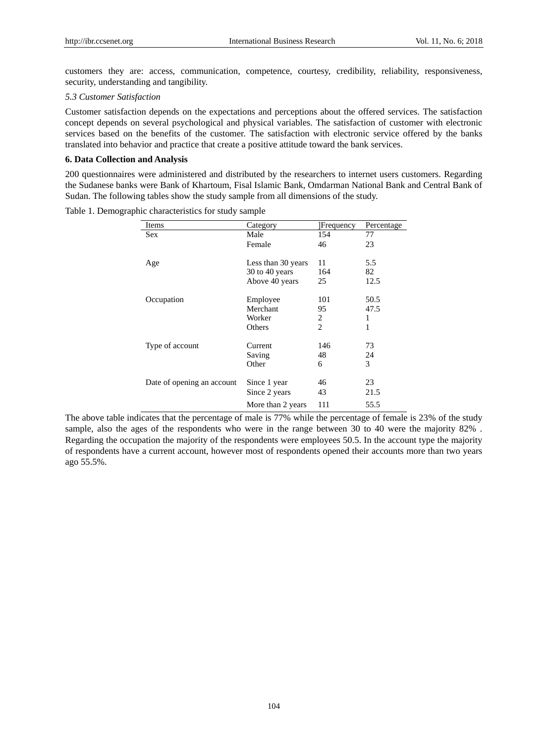customers they are: access, communication, competence, courtesy, credibility, reliability, responsiveness, security, understanding and tangibility.

## *5.3 Customer Satisfaction*

Customer satisfaction depends on the expectations and perceptions about the offered services. The satisfaction concept depends on several psychological and physical variables. The satisfaction of customer with electronic services based on the benefits of the customer. The satisfaction with electronic service offered by the banks translated into behavior and practice that create a positive attitude toward the bank services.

# **6. Data Collection and Analysis**

200 questionnaires were administered and distributed by the researchers to internet users customers. Regarding the Sudanese banks were Bank of Khartoum, Fisal Islamic Bank, Omdarman National Bank and Central Bank of Sudan. The following tables show the study sample from all dimensions of the study.

| Items                      | Category           | Frequency      | Percentage |
|----------------------------|--------------------|----------------|------------|
| Sex                        | Male               | 154            | 77         |
|                            | Female             | 46             | 23         |
| Age                        | Less than 30 years | 11             | 5.5        |
|                            | 30 to 40 years     | 164            | 82         |
|                            | Above 40 years     | 25             | 12.5       |
| Occupation                 | Employee           | 101            | 50.5       |
|                            | Merchant           | 95             | 47.5       |
|                            | Worker             | 2              | 1          |
|                            | Others             | $\overline{c}$ | 1          |
| Type of account            | Current            | 146            | 73         |
|                            | Saving             | 48             | 24         |
|                            | Other              | 6              | 3          |
| Date of opening an account | Since 1 year       | 46             | 23         |
|                            | Since 2 years      | 43             | 21.5       |
|                            | More than 2 years  | 111            | 55.5       |

Table 1. Demographic characteristics for study sample

The above table indicates that the percentage of male is 77% while the percentage of female is 23% of the study sample, also the ages of the respondents who were in the range between 30 to 40 were the majority 82% . Regarding the occupation the majority of the respondents were employees 50.5. In the account type the majority of respondents have a current account, however most of respondents opened their accounts more than two years ago 55.5%.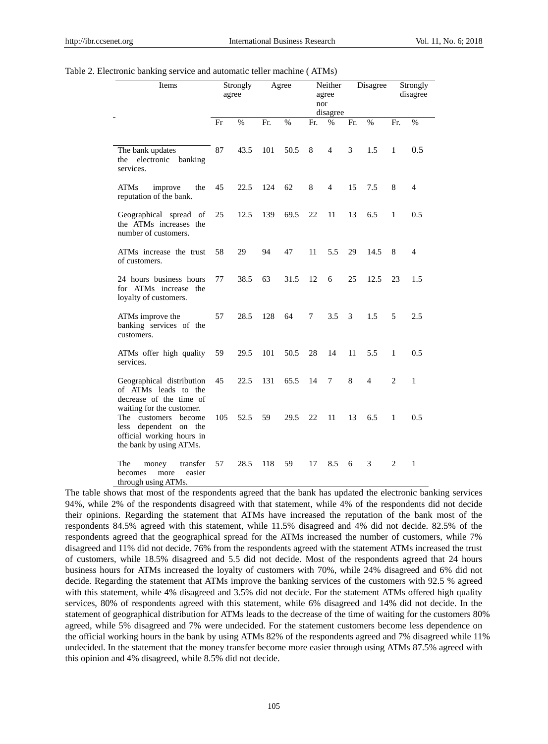#### Table 2. Electronic banking service and automatic teller machine ( ATMs)

| Items                                                                                                     |     | Strongly<br>agree |     | Agree | Neither<br>agree<br>nor<br>disagree |      |     | Disagree       |     | Strongly<br>disagree |
|-----------------------------------------------------------------------------------------------------------|-----|-------------------|-----|-------|-------------------------------------|------|-----|----------------|-----|----------------------|
|                                                                                                           | Fr  | $\%$              | Fr. | $\%$  | Fr.                                 | $\%$ | Fr. | %              | Fr. | $\frac{0}{0}$        |
| The bank updates<br>electronic banking<br>the<br>services.                                                | 87  | 43.5              | 101 | 50.5  | 8                                   | 4    | 3   | 1.5            | 1   | 0.5                  |
| ATMs<br>improve<br>the<br>reputation of the bank.                                                         | 45  | 22.5              | 124 | 62    | 8                                   | 4    | 15  | 7.5            | 8   | 4                    |
| Geographical spread of<br>the ATMs increases the<br>number of customers.                                  | 25  | 12.5              | 139 | 69.5  | 22                                  | 11   | 13  | 6.5            | 1   | 0.5                  |
| ATMs increase the trust<br>of customers.                                                                  | 58  | 29                | 94  | 47    | 11                                  | 5.5  | 29  | 14.5           | 8   | 4                    |
| 24 hours business hours<br>for ATMs increase the<br>loyalty of customers.                                 | 77  | 38.5              | 63  | 31.5  | 12                                  | 6    | 25  | 12.5           | 23  | 1.5                  |
| ATMs improve the<br>banking services of the<br>customers.                                                 | 57  | 28.5              | 128 | 64    | 7                                   | 3.5  | 3   | 1.5            | 5   | 2.5                  |
| ATMs offer high quality<br>services.                                                                      | 59  | 29.5              | 101 | 50.5  | 28                                  | 14   | 11  | 5.5            | 1   | 0.5                  |
| Geographical distribution<br>of ATMs leads to the<br>decrease of the time of<br>waiting for the customer. | 45  | 22.5              | 131 | 65.5  | 14                                  | 7    | 8   | $\overline{4}$ | 2   | $\mathbf{1}$         |
| The customers<br>become<br>less dependent on the<br>official working hours in<br>the bank by using ATMs.  | 105 | 52.5              | 59  | 29.5  | 22                                  | 11   | 13  | 6.5            | 1   | 0.5                  |
| The<br>transfer<br>money<br>easier<br>becomes<br>more<br>through using ATMs.                              | 57  | 28.5              | 118 | 59    | 17                                  | 8.5  | 6   | 3              | 2   | $\mathbf{1}$         |

The table shows that most of the respondents agreed that the bank has updated the electronic banking services 94%, while 2% of the respondents disagreed with that statement, while 4% of the respondents did not decide their opinions. Regarding the statement that ATMs have increased the reputation of the bank most of the respondents 84.5% agreed with this statement, while 11.5% disagreed and 4% did not decide. 82.5% of the respondents agreed that the geographical spread for the ATMs increased the number of customers, while 7% disagreed and 11% did not decide. 76% from the respondents agreed with the statement ATMs increased the trust of customers, while 18.5% disagreed and 5.5 did not decide. Most of the respondents agreed that 24 hours business hours for ATMs increased the loyalty of customers with 70%, while 24% disagreed and 6% did not decide. Regarding the statement that ATMs improve the banking services of the customers with 92.5 % agreed with this statement, while 4% disagreed and 3.5% did not decide. For the statement ATMs offered high quality services, 80% of respondents agreed with this statement, while 6% disagreed and 14% did not decide. In the statement of geographical distribution for ATMs leads to the decrease of the time of waiting for the customers 80% agreed, while 5% disagreed and 7% were undecided. For the statement customers become less dependence on the official working hours in the bank by using ATMs 82% of the respondents agreed and 7% disagreed while 11% undecided. In the statement that the money transfer become more easier through using ATMs 87.5% agreed with this opinion and 4% disagreed, while 8.5% did not decide.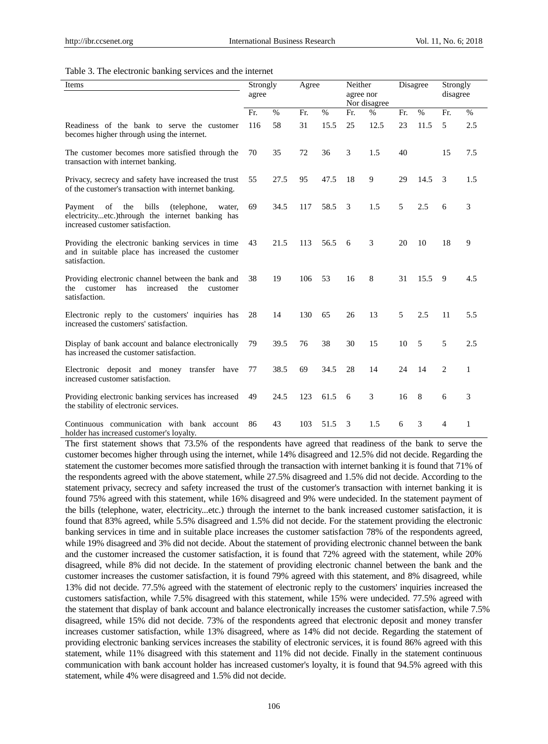Table 3. The electronic banking services and the internet

| Items                                                                                                                                          | Strongly<br>agree |      | Agree |      | Neither<br>agree nor | Nor disagree |     | Disagree | Strongly<br>disagree |              |
|------------------------------------------------------------------------------------------------------------------------------------------------|-------------------|------|-------|------|----------------------|--------------|-----|----------|----------------------|--------------|
|                                                                                                                                                | Fr.               | $\%$ | Fr.   | $\%$ | Fr.                  | %            | Fr. | $\%$     | Fr.                  | $\%$         |
| Readiness of the bank to serve the customer<br>becomes higher through using the internet.                                                      | 116               | 58   | 31    | 15.5 | 25                   | 12.5         | 23  | 11.5     | 5                    | 2.5          |
| The customer becomes more satisfied through the<br>transaction with internet banking.                                                          | 70                | 35   | 72    | 36   | 3                    | 1.5          | 40  |          | 15                   | 7.5          |
| Privacy, secrecy and safety have increased the trust<br>of the customer's transaction with internet banking.                                   | 55                | 27.5 | 95    | 47.5 | 18                   | 9            | 29  | 14.5     | 3                    | 1.5          |
| of<br>bills<br>Payment<br>the<br>(telephone,<br>water,<br>electricityetc.)through the internet banking has<br>increased customer satisfaction. | 69                | 34.5 | 117   | 58.5 | 3                    | 1.5          | 5   | 2.5      | 6                    | 3            |
| Providing the electronic banking services in time<br>and in suitable place has increased the customer<br>satisfaction.                         | 43                | 21.5 | 113   | 56.5 | 6                    | 3            | 20  | 10       | 18                   | 9            |
| Providing electronic channel between the bank and<br>increased<br>customer<br>has<br>the<br>the<br>customer<br>satisfaction.                   | 38                | 19   | 106   | 53   | 16                   | 8            | 31  | 15.5     | 9                    | 4.5          |
| Electronic reply to the customers' inquiries has<br>increased the customers' satisfaction.                                                     | 28                | 14   | 130   | 65   | 26                   | 13           | 5   | 2.5      | 11                   | 5.5          |
| Display of bank account and balance electronically<br>has increased the customer satisfaction.                                                 | 79                | 39.5 | 76    | 38   | 30                   | 15           | 10  | 5        | 5                    | 2.5          |
| Electronic deposit and money<br>transfer have<br>increased customer satisfaction.                                                              | 77                | 38.5 | 69    | 34.5 | 28                   | 14           | 24  | 14       | 2                    | $\mathbf{1}$ |
| Providing electronic banking services has increased<br>the stability of electronic services.                                                   | 49                | 24.5 | 123   | 61.5 | 6                    | 3            | 16  | 8        | 6                    | 3            |
| Continuous communication with bank account<br>holder has increased customer's loyalty.                                                         | 86                | 43   | 103   | 51.5 | 3                    | 1.5          | 6   | 3        | 4                    | 1            |

The first statement shows that 73.5% of the respondents have agreed that readiness of the bank to serve the customer becomes higher through using the internet, while 14% disagreed and 12.5% did not decide. Regarding the statement the customer becomes more satisfied through the transaction with internet banking it is found that 71% of the respondents agreed with the above statement, while 27.5% disagreed and 1.5% did not decide. According to the statement privacy, secrecy and safety increased the trust of the customer's transaction with internet banking it is found 75% agreed with this statement, while 16% disagreed and 9% were undecided. In the statement payment of the bills (telephone, water, electricity...etc.) through the internet to the bank increased customer satisfaction, it is found that 83% agreed, while 5.5% disagreed and 1.5% did not decide. For the statement providing the electronic banking services in time and in suitable place increases the customer satisfaction 78% of the respondents agreed, while 19% disagreed and 3% did not decide. About the statement of providing electronic channel between the bank and the customer increased the customer satisfaction, it is found that 72% agreed with the statement, while 20% disagreed, while 8% did not decide. In the statement of providing electronic channel between the bank and the customer increases the customer satisfaction, it is found 79% agreed with this statement, and 8% disagreed, while 13% did not decide. 77.5% agreed with the statement of electronic reply to the customers' inquiries increased the customers satisfaction, while 7.5% disagreed with this statement, while 15% were undecided. 77.5% agreed with the statement that display of bank account and balance electronically increases the customer satisfaction, while 7.5% disagreed, while 15% did not decide. 73% of the respondents agreed that electronic deposit and money transfer increases customer satisfaction, while 13% disagreed, where as 14% did not decide. Regarding the statement of providing electronic banking services increases the stability of electronic services, it is found 86% agreed with this statement, while 11% disagreed with this statement and 11% did not decide. Finally in the statement continuous communication with bank account holder has increased customer's loyalty, it is found that 94.5% agreed with this statement, while 4% were disagreed and 1.5% did not decide.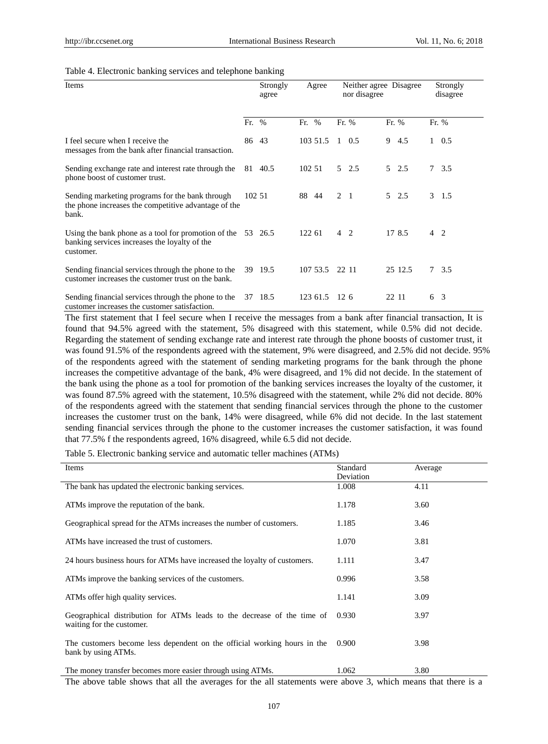| Items                                                                                                                            |        | Strongly<br>agree | Agree          |                | Neither agree Disagree<br>nor disagree |       |              |                | Strongly<br>disagree |
|----------------------------------------------------------------------------------------------------------------------------------|--------|-------------------|----------------|----------------|----------------------------------------|-------|--------------|----------------|----------------------|
|                                                                                                                                  | Fr.    | $\%$              | $\%$<br>Fr.    | Fr. %          |                                        | Fr. % |              |                | Fr. $%$              |
| I feel secure when I receive the<br>messages from the bank after financial transaction.                                          | 86 43  |                   | 103 51.5 1 0.5 |                |                                        | 9     | 4.5          |                | $1 \t 0.5$           |
| Sending exchange rate and interest rate through the<br>phone boost of customer trust.                                            | 81     | 40.5              | 102 51         | 5 <sup>1</sup> | 2.5                                    |       | $5\quad 2.5$ |                | 7, 3.5               |
| Sending marketing programs for the bank through<br>the phone increases the competitive advantage of the<br>bank.                 | 102 51 |                   | 88 44          | 2 <sub>1</sub> |                                        |       | 5 2.5        |                | $3 \t1.5$            |
| Using the bank phone as a tool for promotion of the $53\quad 26.5$<br>banking services increases the loyalty of the<br>customer. |        |                   | 122 61         | $4\quad 2$     |                                        |       | 17 8.5       | $\overline{4}$ | 2                    |
| Sending financial services through the phone to the<br>customer increases the customer trust on the bank.                        |        | 39 19.5           | 107 53.5       | 22 11          |                                        |       | 25 12.5      |                | 7 3.5                |
| Sending financial services through the phone to the<br>customer increases the customer satisfaction.                             |        | 37 18.5           | 123 61.5       | 12 6           |                                        |       | 22 11        | 6              | 3                    |

#### Table 4. Electronic banking services and telephone banking

The first statement that I feel secure when I receive the messages from a bank after financial transaction, It is found that 94.5% agreed with the statement, 5% disagreed with this statement, while 0.5% did not decide. Regarding the statement of sending exchange rate and interest rate through the phone boosts of customer trust, it was found 91.5% of the respondents agreed with the statement, 9% were disagreed, and 2.5% did not decide. 95% of the respondents agreed with the statement of sending marketing programs for the bank through the phone increases the competitive advantage of the bank, 4% were disagreed, and 1% did not decide. In the statement of the bank using the phone as a tool for promotion of the banking services increases the loyalty of the customer, it was found 87.5% agreed with the statement, 10.5% disagreed with the statement, while 2% did not decide. 80% of the respondents agreed with the statement that sending financial services through the phone to the customer increases the customer trust on the bank, 14% were disagreed, while 6% did not decide. In the last statement sending financial services through the phone to the customer increases the customer satisfaction, it was found that 77.5% f the respondents agreed, 16% disagreed, while 6.5 did not decide.

Table 5. Electronic banking service and automatic teller machines (ATMs)

| Items                                                                                                | Standard<br>Deviation | Average |
|------------------------------------------------------------------------------------------------------|-----------------------|---------|
| The bank has updated the electronic banking services.                                                | 1.008                 | 4.11    |
| ATMs improve the reputation of the bank.                                                             | 1.178                 | 3.60    |
| Geographical spread for the ATMs increases the number of customers.                                  | 1.185                 | 3.46    |
| ATMs have increased the trust of customers.                                                          | 1.070                 | 3.81    |
| 24 hours business hours for ATMs have increased the loyalty of customers.                            | 1.111                 | 3.47    |
| ATMs improve the banking services of the customers.                                                  | 0.996                 | 3.58    |
| ATMs offer high quality services.                                                                    | 1.141                 | 3.09    |
| Geographical distribution for ATMs leads to the decrease of the time of<br>waiting for the customer. | 0.930                 | 3.97    |
| The customers become less dependent on the official working hours in the<br>bank by using ATMs.      | 0.900                 | 3.98    |
| The money transfer becomes more easier through using ATMs.                                           | 1.062                 | 3.80    |

The above table shows that all the averages for the all statements were above 3, which means that there is a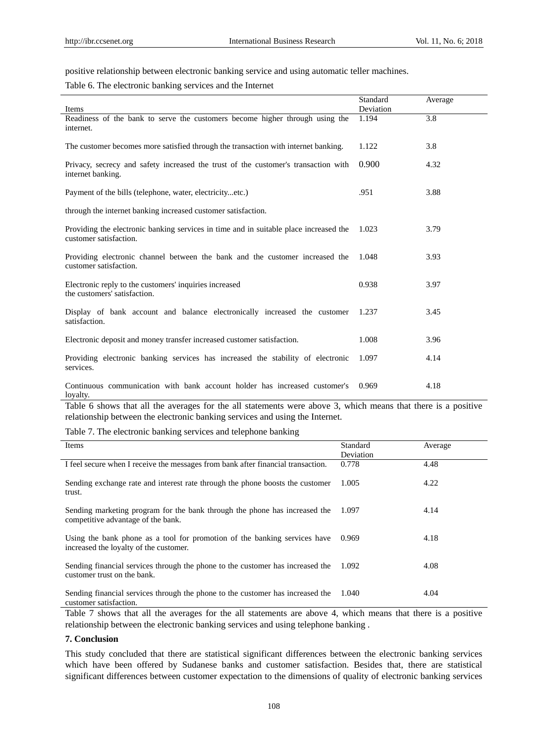positive relationship between electronic banking service and using automatic teller machines.

### Table 6. The electronic banking services and the Internet

| Items                                                                                                           | Standard<br>Deviation | Average |
|-----------------------------------------------------------------------------------------------------------------|-----------------------|---------|
| Readiness of the bank to serve the customers become higher through using the<br>internet.                       | 1.194                 | 3.8     |
| The customer becomes more satisfied through the transaction with internet banking.                              | 1.122                 | 3.8     |
| Privacy, secrecy and safety increased the trust of the customer's transaction with<br>internet banking.         | 0.900                 | 4.32    |
| Payment of the bills (telephone, water, electricityetc.)                                                        | .951                  | 3.88    |
| through the internet banking increased customer satisfaction.                                                   |                       |         |
| Providing the electronic banking services in time and in suitable place increased the<br>customer satisfaction. | 1.023                 | 3.79    |
| Providing electronic channel between the bank and the customer increased the<br>customer satisfaction.          | 1.048                 | 3.93    |
| Electronic reply to the customers' inquiries increased<br>the customers' satisfaction.                          | 0.938                 | 3.97    |
| Display of bank account and balance electronically increased the customer<br>satisfaction.                      | 1.237                 | 3.45    |
| Electronic deposit and money transfer increased customer satisfaction.                                          | 1.008                 | 3.96    |
| Providing electronic banking services has increased the stability of electronic<br>services.                    | 1.097                 | 4.14    |
| Continuous communication with bank account holder has increased customer's<br>loyalty.                          | 0.969                 | 4.18    |

Table 6 shows that all the averages for the all statements were above 3, which means that there is a positive relationship between the electronic banking services and using the Internet.

## Table 7. The electronic banking services and telephone banking

| Items                                                                                                               | Standard<br>Deviation | Average |
|---------------------------------------------------------------------------------------------------------------------|-----------------------|---------|
| I feel secure when I receive the messages from bank after financial transaction.                                    | 0.778                 | 4.48    |
| Sending exchange rate and interest rate through the phone boosts the customer<br>trust.                             | 1.005                 | 4.22    |
| Sending marketing program for the bank through the phone has increased the<br>competitive advantage of the bank.    | 1.097                 | 4.14    |
| Using the bank phone as a tool for promotion of the banking services have<br>increased the loyalty of the customer. | 0.969                 | 4.18    |
| Sending financial services through the phone to the customer has increased the<br>customer trust on the bank.       | 1.092                 | 4.08    |
| Sending financial services through the phone to the customer has increased the<br>customer satisfaction.            | 1.040                 | 4.04    |

Table 7 shows that all the averages for the all statements are above 4, which means that there is a positive relationship between the electronic banking services and using telephone banking .

## **7. Conclusion**

This study concluded that there are statistical significant differences between the electronic banking services which have been offered by Sudanese banks and customer satisfaction. Besides that, there are statistical significant differences between customer expectation to the dimensions of quality of electronic banking services